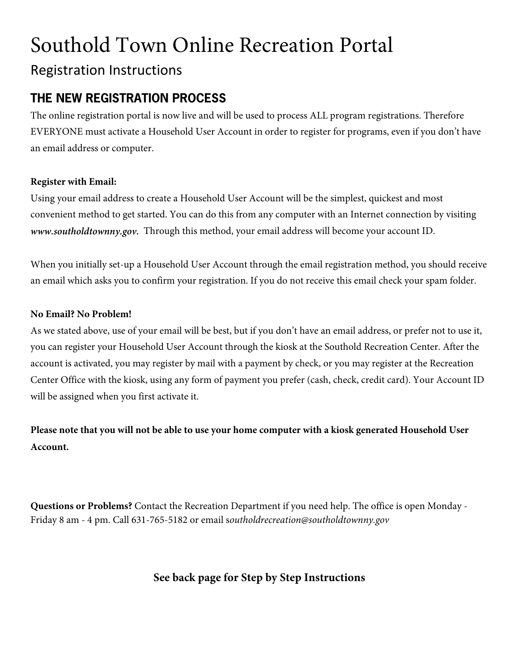# Southold Town Online Recreation Portal Registration Instructions

# **THE NEW REGISTRATION PROCESS**

The online registration portal is now live and will be used to process ALL program registrations. Therefore EVERYONE must activate a Household User Account in order to register for programs, even if you don't have an email address or computer.

## **Register with Email:**

Using your email address to create a Household User Account will be the simplest, quickest and most convenient method to get started. You can do this from any computer with an Internet connection by visiting *www.southoldtownny.gov.* Through this method, your email address will become your account ID.

When you initially set-up a Household User Account through the email registration method, you should receive an email which asks you to confirm your registration. If you do not receive this email check your spam folder.

## **No Email? No Problem!**

As we stated above, use of your email will be best, but if you don't have an email address, or prefer not to use it, you can register your Household User Account through the kiosk at the Southold Recreation Center. After the account is activated, you may register by mail with a payment by check, or you may register at the Recreation Center Office with the kiosk, using any form of payment you prefer (cash, check, credit card). Your Account ID will be assigned when you first activate it.

**Please note that you will not be able to use your home computer with a kiosk generated Household User Account.** 

**Questions or Problems?** Contact the Recreation Department if you need help. The office is open Monday - Friday 8 am - 4 pm. Call 631-765-5182 or email s*outholdrecreation@southoldtownny.gov*

# **See back page for Step by Step Instructions**